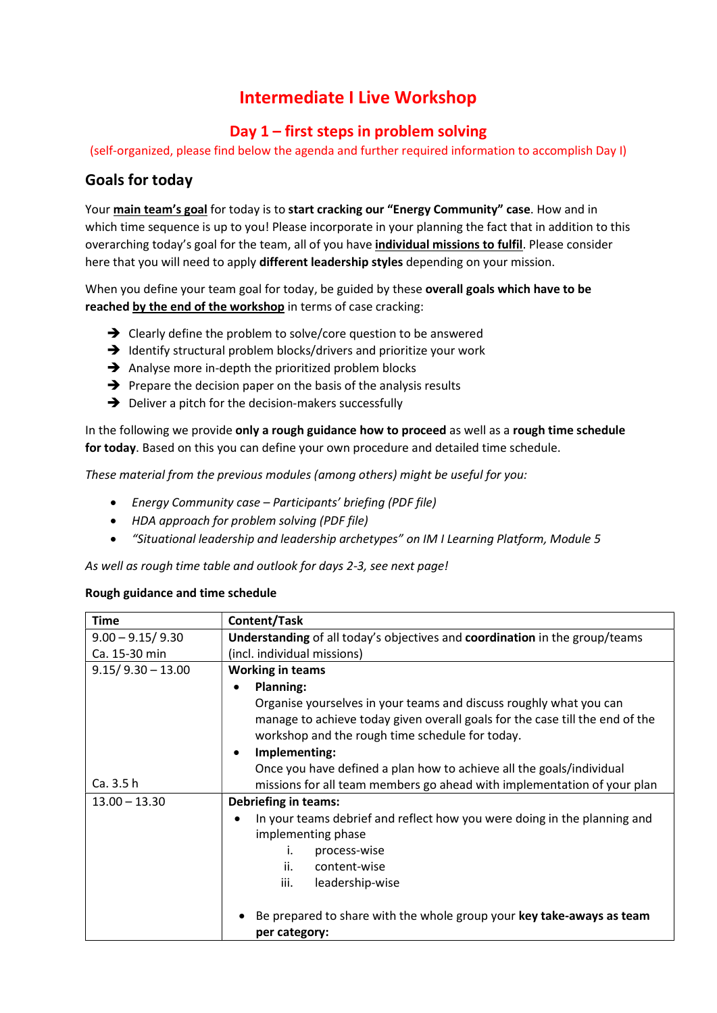# Intermediate I Live Workshop

# Day 1 – first steps in problem solving

(self-organized, please find below the agenda and further required information to accomplish Day I)

## Goals for today

Your main team's goal for today is to start cracking our "Energy Community" case. How and in which time sequence is up to you! Please incorporate in your planning the fact that in addition to this overarching today's goal for the team, all of you have individual missions to fulfil. Please consider here that you will need to apply different leadership styles depending on your mission.

When you define your team goal for today, be guided by these overall goals which have to be reached by the end of the workshop in terms of case cracking:

- $\rightarrow$  Clearly define the problem to solve/core question to be answered
- $\rightarrow$  Identify structural problem blocks/drivers and prioritize your work
- $\rightarrow$  Analyse more in-depth the prioritized problem blocks
- $\rightarrow$  Prepare the decision paper on the basis of the analysis results
- $\rightarrow$  Deliver a pitch for the decision-makers successfully

In the following we provide only a rough guidance how to proceed as well as a rough time schedule for today. Based on this you can define your own procedure and detailed time schedule.

These material from the previous modules (among others) might be useful for you:

- Energy Community case Participants' briefing (PDF file)
- HDA approach for problem solving (PDF file)
- "Situational leadership and leadership archetypes" on IM I Learning Platform, Module 5

As well as rough time table and outlook for days 2-3, see next page!

| <b>Time</b>          | Content/Task                                                                                                                                                                                          |  |  |  |  |
|----------------------|-------------------------------------------------------------------------------------------------------------------------------------------------------------------------------------------------------|--|--|--|--|
| $9.00 - 9.15 / 9.30$ | Understanding of all today's objectives and coordination in the group/teams                                                                                                                           |  |  |  |  |
| Ca. 15-30 min        | (incl. individual missions)                                                                                                                                                                           |  |  |  |  |
| $9.15/9.30 - 13.00$  | <b>Working in teams</b>                                                                                                                                                                               |  |  |  |  |
|                      | <b>Planning:</b><br>$\bullet$                                                                                                                                                                         |  |  |  |  |
|                      | Organise yourselves in your teams and discuss roughly what you can<br>manage to achieve today given overall goals for the case till the end of the<br>workshop and the rough time schedule for today. |  |  |  |  |
|                      | Implementing:<br>$\bullet$                                                                                                                                                                            |  |  |  |  |
|                      | Once you have defined a plan how to achieve all the goals/individual                                                                                                                                  |  |  |  |  |
| Ca. 3.5 h            | missions for all team members go ahead with implementation of your plan                                                                                                                               |  |  |  |  |
| $13.00 - 13.30$      | <b>Debriefing in teams:</b>                                                                                                                                                                           |  |  |  |  |
|                      | In your teams debrief and reflect how you were doing in the planning and<br>$\bullet$<br>implementing phase                                                                                           |  |  |  |  |
|                      | process-wise<br>i.                                                                                                                                                                                    |  |  |  |  |
|                      | ii.<br>content-wise                                                                                                                                                                                   |  |  |  |  |
|                      | iii.<br>leadership-wise                                                                                                                                                                               |  |  |  |  |
|                      | Be prepared to share with the whole group your key take-aways as team<br>per category:                                                                                                                |  |  |  |  |

#### Rough guidance and time schedule